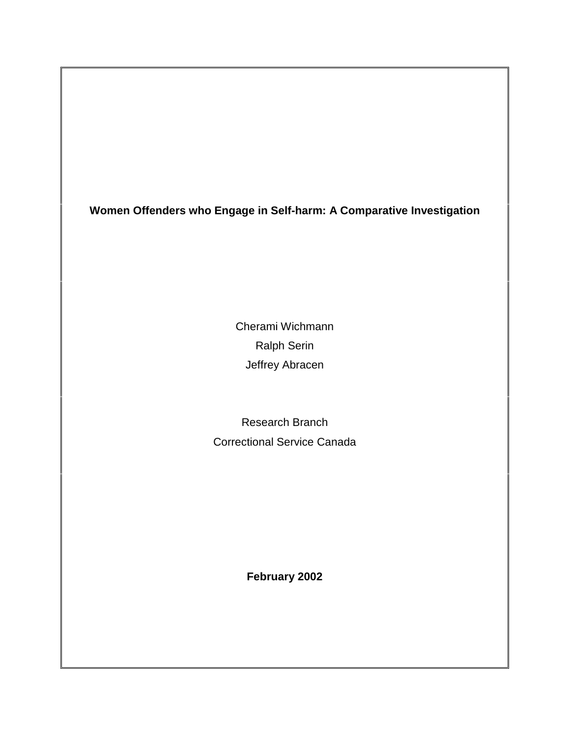**Women Offenders who Engage in Self-harm: A Comparative Investigation**

Cherami Wichmann Ralph Serin Jeffrey Abracen

Research Branch Correctional Service Canada

**February 2002**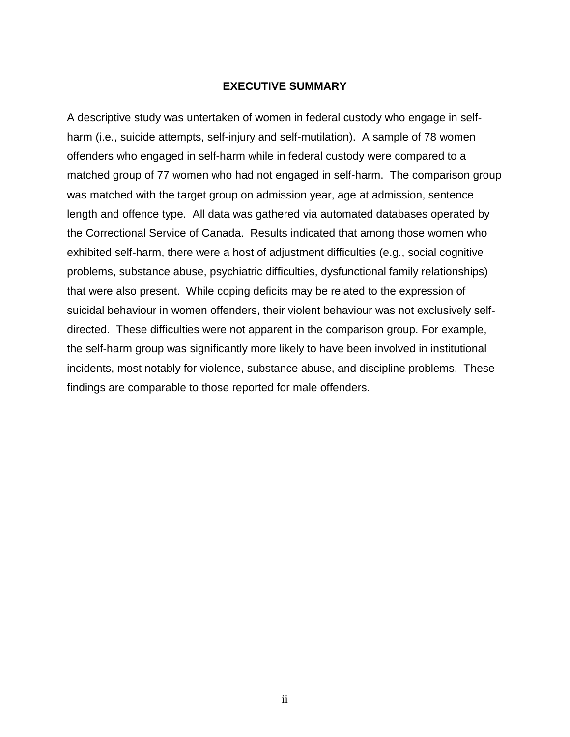### **EXECUTIVE SUMMARY**

<span id="page-1-0"></span>A descriptive study was untertaken of women in federal custody who engage in selfharm (i.e., suicide attempts, self-injury and self-mutilation). A sample of 78 women offenders who engaged in self-harm while in federal custody were compared to a matched group of 77 women who had not engaged in self-harm. The comparison group was matched with the target group on admission year, age at admission, sentence length and offence type. All data was gathered via automated databases operated by the Correctional Service of Canada. Results indicated that among those women who exhibited self-harm, there were a host of adjustment difficulties (e.g., social cognitive problems, substance abuse, psychiatric difficulties, dysfunctional family relationships) that were also present. While coping deficits may be related to the expression of suicidal behaviour in women offenders, their violent behaviour was not exclusively selfdirected. These difficulties were not apparent in the comparison group. For example, the self-harm group was significantly more likely to have been involved in institutional incidents, most notably for violence, substance abuse, and discipline problems. These findings are comparable to those reported for male offenders.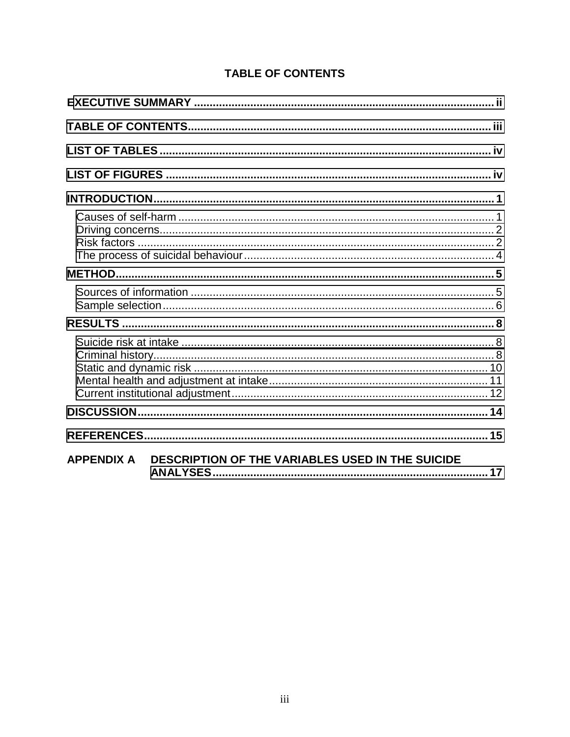| DESCRIPTION OF THE VARIABLES USED IN THE SUICIDE<br><b>APPENDIX A</b> |
|-----------------------------------------------------------------------|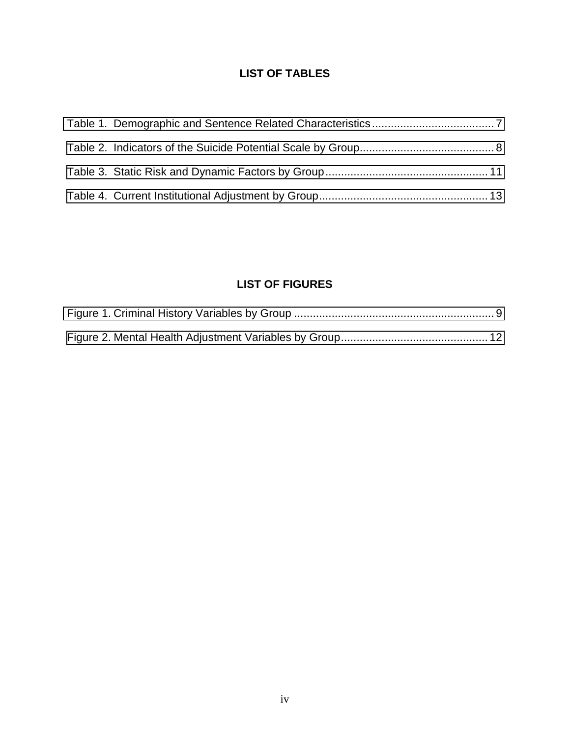# **LIST OF TABLES**

<span id="page-3-0"></span>

# **LIST OF FIGURES**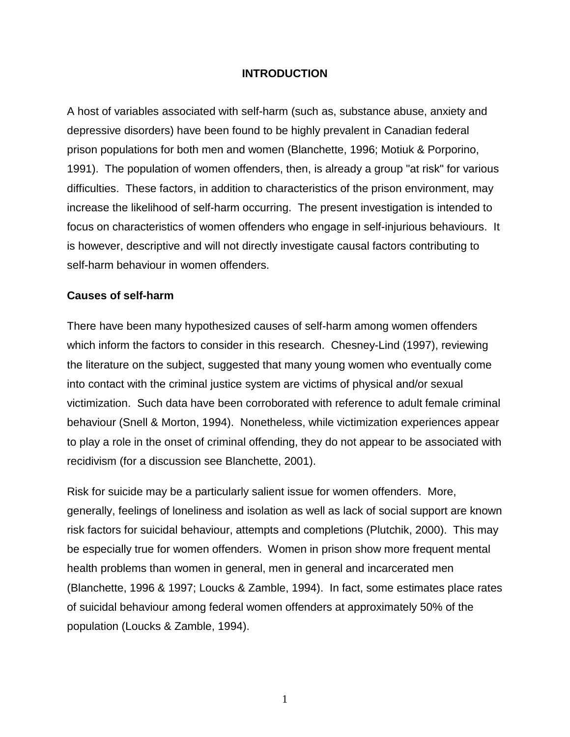## **INTRODUCTION**

<span id="page-4-0"></span>A host of variables associated with self-harm (such as, substance abuse, anxiety and depressive disorders) have been found to be highly prevalent in Canadian federal prison populations for both men and women (Blanchette, 1996; Motiuk & Porporino, 1991). The population of women offenders, then, is already a group "at risk" for various difficulties. These factors, in addition to characteristics of the prison environment, may increase the likelihood of self-harm occurring. The present investigation is intended to focus on characteristics of women offenders who engage in self-injurious behaviours. It is however, descriptive and will not directly investigate causal factors contributing to self-harm behaviour in women offenders.

### **Causes of self-harm**

There have been many hypothesized causes of self-harm among women offenders which inform the factors to consider in this research. Chesney-Lind (1997), reviewing the literature on the subject, suggested that many young women who eventually come into contact with the criminal justice system are victims of physical and/or sexual victimization. Such data have been corroborated with reference to adult female criminal behaviour (Snell & Morton, 1994). Nonetheless, while victimization experiences appear to play a role in the onset of criminal offending, they do not appear to be associated with recidivism (for a discussion see Blanchette, 2001).

Risk for suicide may be a particularly salient issue for women offenders. More, generally, feelings of loneliness and isolation as well as lack of social support are known risk factors for suicidal behaviour, attempts and completions (Plutchik, 2000). This may be especially true for women offenders. Women in prison show more frequent mental health problems than women in general, men in general and incarcerated men (Blanchette, 1996 & 1997; Loucks & Zamble, 1994). In fact, some estimates place rates of suicidal behaviour among federal women offenders at approximately 50% of the population (Loucks & Zamble, 1994).

1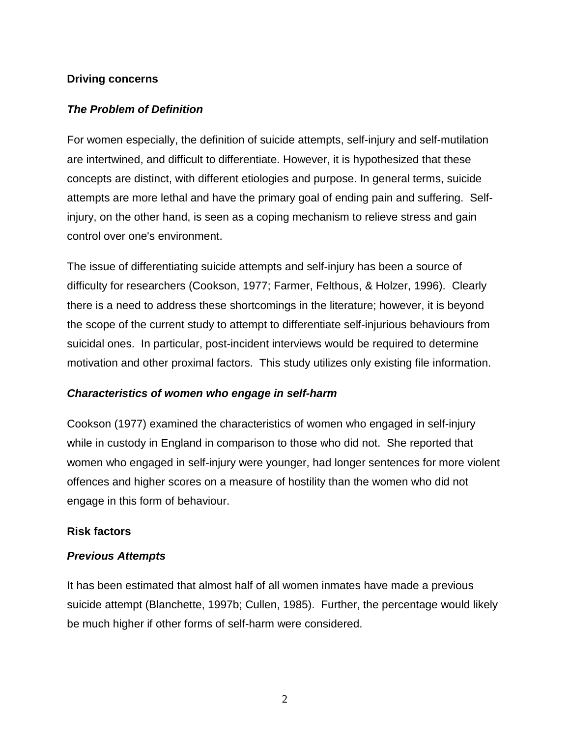## <span id="page-5-0"></span>**Driving concerns**

## *The Problem of Definition*

For women especially, the definition of suicide attempts, self-injury and self-mutilation are intertwined, and difficult to differentiate. However, it is hypothesized that these concepts are distinct, with different etiologies and purpose. In general terms, suicide attempts are more lethal and have the primary goal of ending pain and suffering. Selfinjury, on the other hand, is seen as a coping mechanism to relieve stress and gain control over one's environment.

The issue of differentiating suicide attempts and self-injury has been a source of difficulty for researchers (Cookson, 1977; Farmer, Felthous, & Holzer, 1996). Clearly there is a need to address these shortcomings in the literature; however, it is beyond the scope of the current study to attempt to differentiate self-injurious behaviours from suicidal ones. In particular, post-incident interviews would be required to determine motivation and other proximal factors. This study utilizes only existing file information.

## *Characteristics of women who engage in self-harm*

Cookson (1977) examined the characteristics of women who engaged in self-injury while in custody in England in comparison to those who did not. She reported that women who engaged in self-injury were younger, had longer sentences for more violent offences and higher scores on a measure of hostility than the women who did not engage in this form of behaviour.

## **Risk factors**

## *Previous Attempts*

It has been estimated that almost half of all women inmates have made a previous suicide attempt (Blanchette, 1997b; Cullen, 1985). Further, the percentage would likely be much higher if other forms of self-harm were considered.

2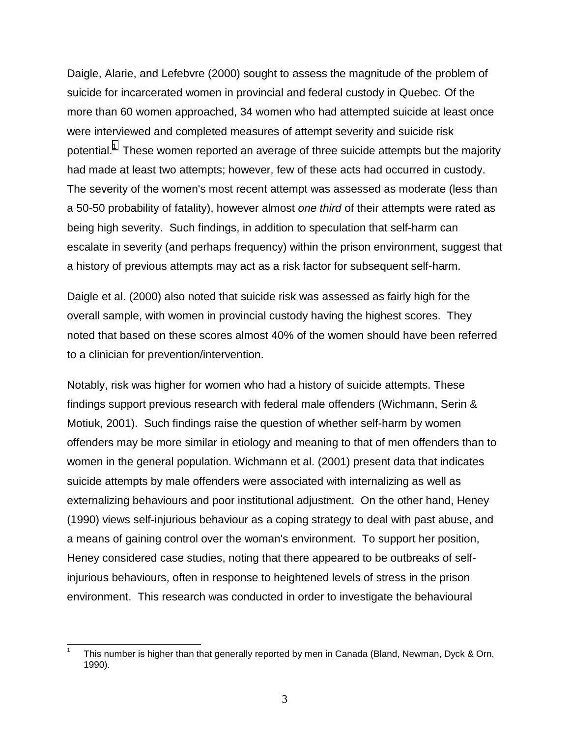Daigle, Alarie, and Lefebvre (2000) sought to assess the magnitude of the problem of suicide for incarcerated women in provincial and federal custody in Quebec. Of the more than 60 women approached, 34 women who had attempted suicide at least once were interviewed and completed measures of attempt severity and suicide risk potential.<sup>1</sup> These women reported an average of three suicide attempts but the majority had made at least two attempts; however, few of these acts had occurred in custody. The severity of the women's most recent attempt was assessed as moderate (less than a 50-50 probability of fatality), however almost *one third* of their attempts were rated as being high severity. Such findings, in addition to speculation that self-harm can escalate in severity (and perhaps frequency) within the prison environment, suggest that a history of previous attempts may act as a risk factor for subsequent self-harm.

Daigle et al. (2000) also noted that suicide risk was assessed as fairly high for the overall sample, with women in provincial custody having the highest scores. They noted that based on these scores almost 40% of the women should have been referred to a clinician for prevention/intervention.

Notably, risk was higher for women who had a history of suicide attempts. These findings support previous research with federal male offenders (Wichmann, Serin & Motiuk, 2001). Such findings raise the question of whether self-harm by women offenders may be more similar in etiology and meaning to that of men offenders than to women in the general population. Wichmann et al. (2001) present data that indicates suicide attempts by male offenders were associated with internalizing as well as externalizing behaviours and poor institutional adjustment. On the other hand, Heney (1990) views self-injurious behaviour as a coping strategy to deal with past abuse, and a means of gaining control over the woman's environment. To support her position, Heney considered case studies, noting that there appeared to be outbreaks of selfinjurious behaviours, often in response to heightened levels of stress in the prison environment. This research was conducted in order to investigate the behavioural

 $\overline{\phantom{a}}$ 

<sup>1</sup> This number is higher than that generally reported by men in Canada (Bland, Newman, Dyck & Orn, 1990).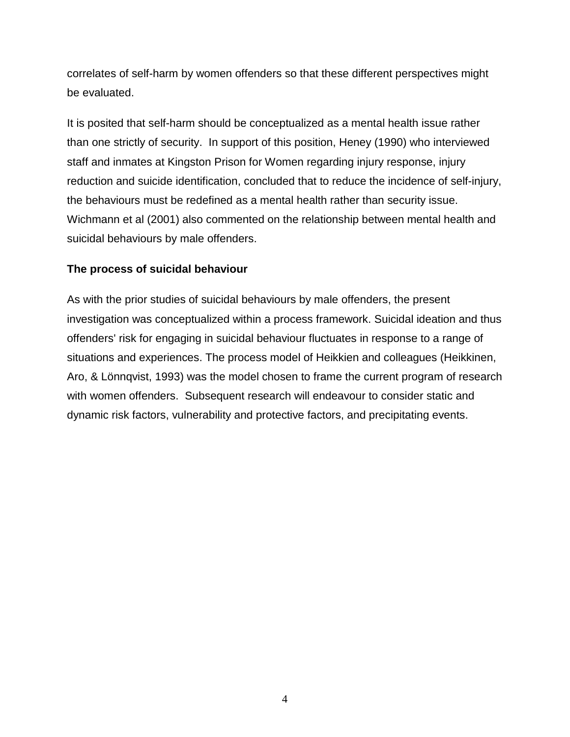<span id="page-7-0"></span>correlates of self-harm by women offenders so that these different perspectives might be evaluated.

It is posited that self-harm should be conceptualized as a mental health issue rather than one strictly of security. In support of this position, Heney (1990) who interviewed staff and inmates at Kingston Prison for Women regarding injury response, injury reduction and suicide identification, concluded that to reduce the incidence of self-injury, the behaviours must be redefined as a mental health rather than security issue. Wichmann et al (2001) also commented on the relationship between mental health and suicidal behaviours by male offenders.

# **The process of suicidal behaviour**

As with the prior studies of suicidal behaviours by male offenders, the present investigation was conceptualized within a process framework. Suicidal ideation and thus offenders' risk for engaging in suicidal behaviour fluctuates in response to a range of situations and experiences. The process model of Heikkien and colleagues (Heikkinen, Aro, & Lönnqvist, 1993) was the model chosen to frame the current program of research with women offenders. Subsequent research will endeavour to consider static and dynamic risk factors, vulnerability and protective factors, and precipitating events.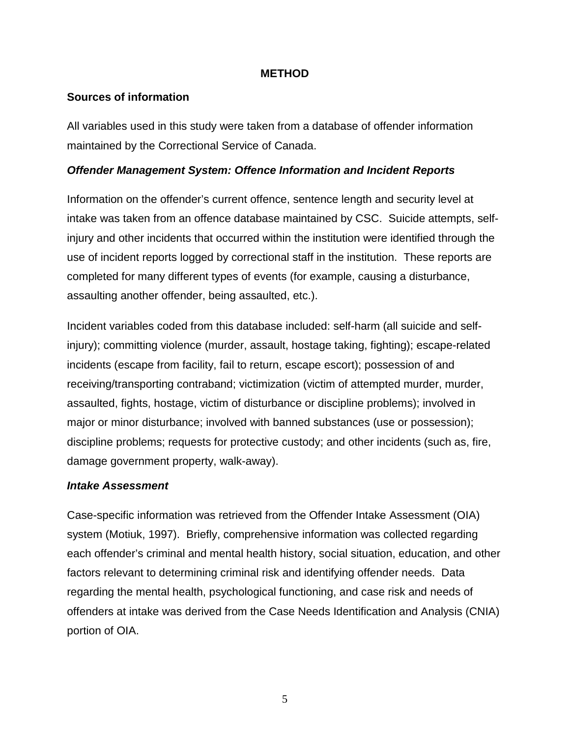## **METHOD**

## <span id="page-8-0"></span>**Sources of information**

All variables used in this study were taken from a database of offender information maintained by the Correctional Service of Canada.

## *Offender Management System: Offence Information and Incident Reports*

Information on the offender's current offence, sentence length and security level at intake was taken from an offence database maintained by CSC. Suicide attempts, selfinjury and other incidents that occurred within the institution were identified through the use of incident reports logged by correctional staff in the institution. These reports are completed for many different types of events (for example, causing a disturbance, assaulting another offender, being assaulted, etc.).

Incident variables coded from this database included: self-harm (all suicide and selfinjury); committing violence (murder, assault, hostage taking, fighting); escape-related incidents (escape from facility, fail to return, escape escort); possession of and receiving/transporting contraband; victimization (victim of attempted murder, murder, assaulted, fights, hostage, victim of disturbance or discipline problems); involved in major or minor disturbance; involved with banned substances (use or possession); discipline problems; requests for protective custody; and other incidents (such as, fire, damage government property, walk-away).

## *Intake Assessment*

Case-specific information was retrieved from the Offender Intake Assessment (OIA) system (Motiuk, 1997). Briefly, comprehensive information was collected regarding each offender's criminal and mental health history, social situation, education, and other factors relevant to determining criminal risk and identifying offender needs. Data regarding the mental health, psychological functioning, and case risk and needs of offenders at intake was derived from the Case Needs Identification and Analysis (CNIA) portion of OIA.

5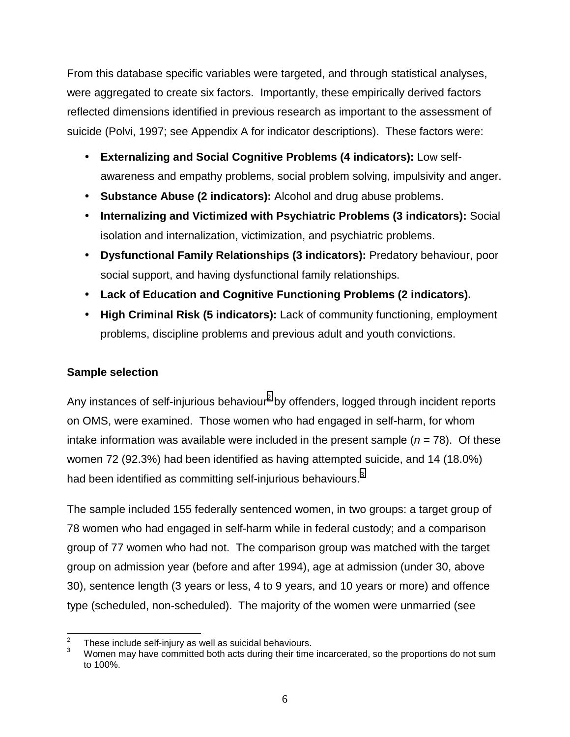<span id="page-9-0"></span>From this database specific variables were targeted, and through statistical analyses, were aggregated to create six factors. Importantly, these empirically derived factors reflected dimensions identified in previous research as important to the assessment of suicide (Polvi, 1997; see Appendix A for indicator descriptions). These factors were:

- **Externalizing and Social Cognitive Problems (4 indicators):** Low selfawareness and empathy problems, social problem solving, impulsivity and anger.
- **Substance Abuse (2 indicators):** Alcohol and drug abuse problems.
- **Internalizing and Victimized with Psychiatric Problems (3 indicators):** Social isolation and internalization, victimization, and psychiatric problems.
- **Dysfunctional Family Relationships (3 indicators):** Predatory behaviour, poor social support, and having dysfunctional family relationships.
- **Lack of Education and Cognitive Functioning Problems (2 indicators).**
- **High Criminal Risk (5 indicators):** Lack of community functioning, employment problems, discipline problems and previous adult and youth convictions.

# **Sample selection**

Any instances of self-injurious behaviour<sup>2</sup> by offenders, logged through incident reports on OMS, were examined. Those women who had engaged in self-harm, for whom intake information was available were included in the present sample  $(n = 78)$ . Of these women 72 (92.3%) had been identified as having attempted suicide, and 14 (18.0%) had been identified as committing self-injurious behaviours.<sup>3</sup>

The sample included 155 federally sentenced women, in two groups: a target group of 78 women who had engaged in self-harm while in federal custody; and a comparison group of 77 women who had not. The comparison group was matched with the target group on admission year (before and after 1994), age at admission (under 30, above 30), sentence length (3 years or less, 4 to 9 years, and 10 years or more) and offence type (scheduled, non-scheduled). The majority of the women were unmarried (see

 $\frac{1}{2}$ These include self-injury as well as suicidal behaviours.

<sup>3</sup> Women may have committed both acts during their time incarcerated, so the proportions do not sum to 100%.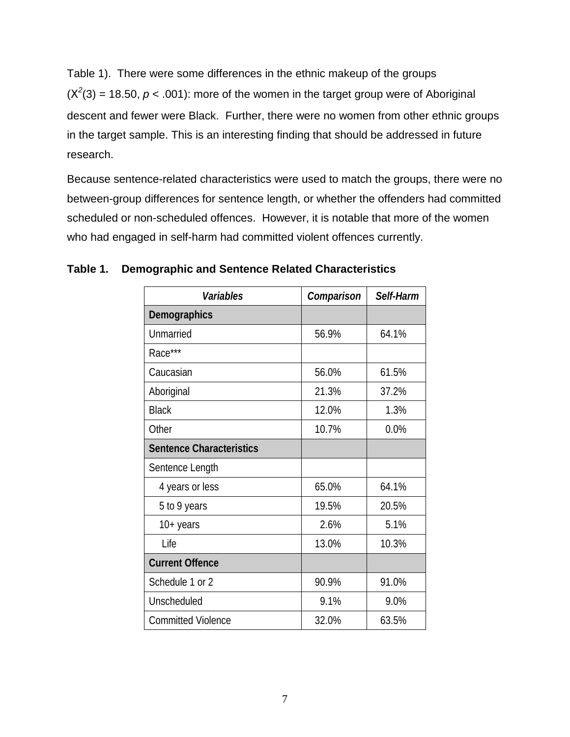<span id="page-10-0"></span>Table 1). There were some differences in the ethnic makeup of the groups  $(X<sup>2</sup>(3) = 18.50, p < .001)$ : more of the women in the target group were of Aboriginal descent and fewer were Black. Further, there were no women from other ethnic groups in the target sample. This is an interesting finding that should be addressed in future research.

Because sentence-related characteristics were used to match the groups, there were no between-group differences for sentence length, or whether the offenders had committed scheduled or non-scheduled offences. However, it is notable that more of the women who had engaged in self-harm had committed violent offences currently.

| Variables                       | Comparison | Self-Harm |
|---------------------------------|------------|-----------|
| <b>Demographics</b>             |            |           |
| Unmarried                       | 56.9%      | 64.1%     |
| Race***                         |            |           |
| Caucasian                       | 56.0%      | 61.5%     |
| Aboriginal                      | 21.3%      | 37.2%     |
| <b>Black</b>                    | 12.0%      | 1.3%      |
| Other                           | 10.7%      | 0.0%      |
| <b>Sentence Characteristics</b> |            |           |
| Sentence Length                 |            |           |
| 4 years or less                 | 65.0%      | 64.1%     |
| 5 to 9 years                    | 19.5%      | 20.5%     |
| $10+$ years                     | 2.6%       | 5.1%      |
| Life                            | 13.0%      | 10.3%     |
| <b>Current Offence</b>          |            |           |
| Schedule 1 or 2                 | 90.9%      | 91.0%     |
| Unscheduled                     | 9.1%       | 9.0%      |
| <b>Committed Violence</b>       | 32.0%      | 63.5%     |

**Table 1. Demographic and Sentence Related Characteristics**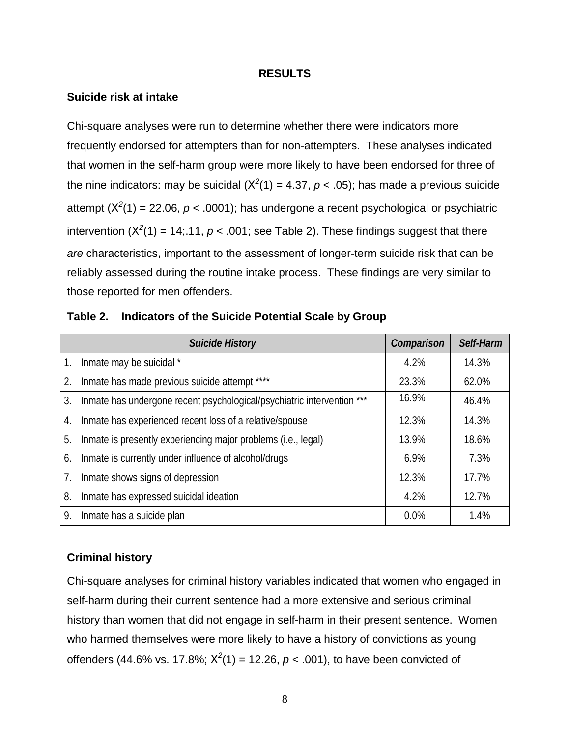#### **RESULTS**

#### <span id="page-11-0"></span>**Suicide risk at intake**

Chi-square analyses were run to determine whether there were indicators more frequently endorsed for attempters than for non-attempters. These analyses indicated that women in the self-harm group were more likely to have been endorsed for three of the nine indicators: may be suicidal  $(X^2(1) = 4.37, p < .05)$ ; has made a previous suicide attempt (X*<sup>2</sup>* (1) = 22.06, *p* < .0001); has undergone a recent psychological or psychiatric intervention  $(X^2(1) = 14; 11, p < .001;$  see Table 2). These findings suggest that there *are* characteristics, important to the assessment of longer-term suicide risk that can be reliably assessed during the routine intake process. These findings are very similar to those reported for men offenders.

|                  | <b>Suicide History</b>                                                 | Comparison | Self-Harm |
|------------------|------------------------------------------------------------------------|------------|-----------|
| 1.               | Inmate may be suicidal *                                               | 4.2%       | 14.3%     |
| 2.               | Inmate has made previous suicide attempt ****                          | 23.3%      | 62.0%     |
| 3.               | Inmate has undergone recent psychological/psychiatric intervention *** | 16.9%      | 46.4%     |
| $\overline{4}$ . | Inmate has experienced recent loss of a relative/spouse                | 12.3%      | 14.3%     |
| 5.               | Inmate is presently experiencing major problems (i.e., legal)          | 13.9%      | 18.6%     |
| 6.               | Inmate is currently under influence of alcohol/drugs                   | 6.9%       | 7.3%      |
| 7.               | Inmate shows signs of depression                                       | 12.3%      | 17.7%     |
| 8.               | Inmate has expressed suicidal ideation                                 | 4.2%       | 12.7%     |
| 9.               | Inmate has a suicide plan                                              | $0.0\%$    | 1.4%      |

|  |  | Table 2. Indicators of the Suicide Potential Scale by Group |  |  |  |
|--|--|-------------------------------------------------------------|--|--|--|
|--|--|-------------------------------------------------------------|--|--|--|

### **Criminal history**

Chi-square analyses for criminal history variables indicated that women who engaged in self-harm during their current sentence had a more extensive and serious criminal history than women that did not engage in self-harm in their present sentence. Women who harmed themselves were more likely to have a history of convictions as young offenders (44.6% vs. 17.8%; X*<sup>2</sup>* (1) = 12.26, *p* < .001), to have been convicted of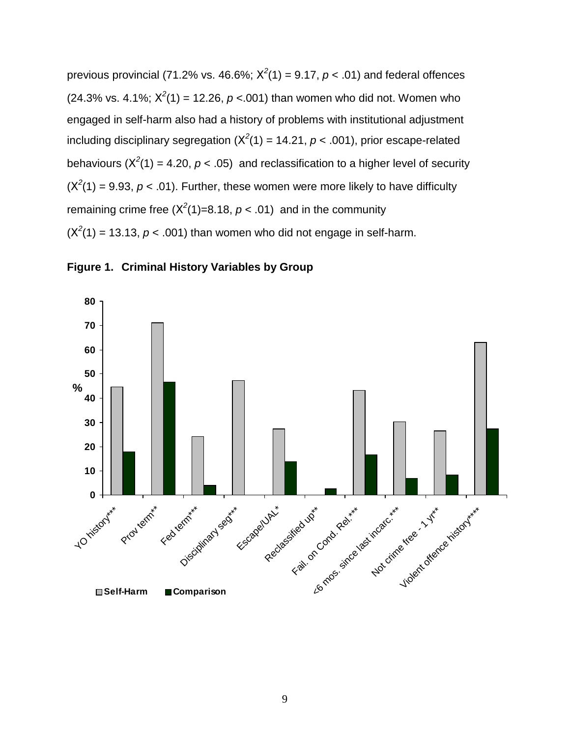<span id="page-12-0"></span>previous provincial (71.2% vs. 46.6%;  $X^2(1) = 9.17$ ,  $p < .01$ ) and federal offences  $(24.3\% \text{ vs. } 4.1\%; X^2(1) = 12.26, p < .001)$  than women who did not. Women who engaged in self-harm also had a history of problems with institutional adjustment including disciplinary segregation  $(X^2(1) = 14.21, p < .001)$ , prior escape-related behaviours ( $X^2(1) = 4.20$ ,  $p < .05$ ) and reclassification to a higher level of security  $(X<sup>2</sup>(1) = 9.93, p < .01)$ . Further, these women were more likely to have difficulty remaining crime free  $(X^2(1)=8.18, p < .01)$  and in the community  $(X^2(1) = 13.13, p < .001)$  than women who did not engage in self-harm.



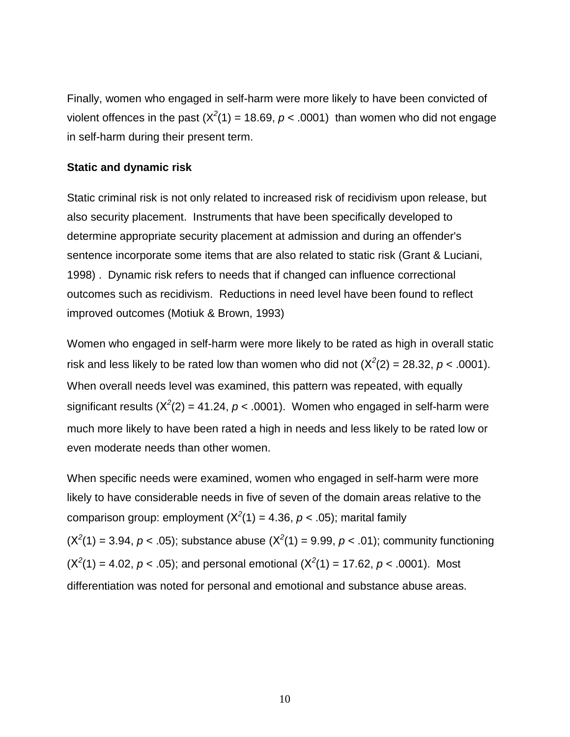<span id="page-13-0"></span>Finally, women who engaged in self-harm were more likely to have been convicted of violent offences in the past  $(X^2(1) = 18.69, p < .0001)$  than women who did not engage in self-harm during their present term.

#### **Static and dynamic risk**

Static criminal risk is not only related to increased risk of recidivism upon release, but also security placement. Instruments that have been specifically developed to determine appropriate security placement at admission and during an offender's sentence incorporate some items that are also related to static risk (Grant & Luciani, 1998) . Dynamic risk refers to needs that if changed can influence correctional outcomes such as recidivism. Reductions in need level have been found to reflect improved outcomes (Motiuk & Brown, 1993)

Women who engaged in self-harm were more likely to be rated as high in overall static risk and less likely to be rated low than women who did not  $(X^2(2) = 28.32, p < .0001)$ . When overall needs level was examined, this pattern was repeated, with equally significant results ( $X^2(2)$  = 41.24,  $p < .0001$ ). Women who engaged in self-harm were much more likely to have been rated a high in needs and less likely to be rated low or even moderate needs than other women.

When specific needs were examined, women who engaged in self-harm were more likely to have considerable needs in five of seven of the domain areas relative to the comparison group: employment  $(X^2(1) = 4.36, p < .05)$ ; marital family  $(X^2(1) = 3.94, p < .05)$ ; substance abuse  $(X^2(1) = 9.99, p < .01)$ ; community functioning  $(X^2(1) = 4.02, p < .05)$ ; and personal emotional  $(X^2(1) = 17.62, p < .0001)$ . Most differentiation was noted for personal and emotional and substance abuse areas.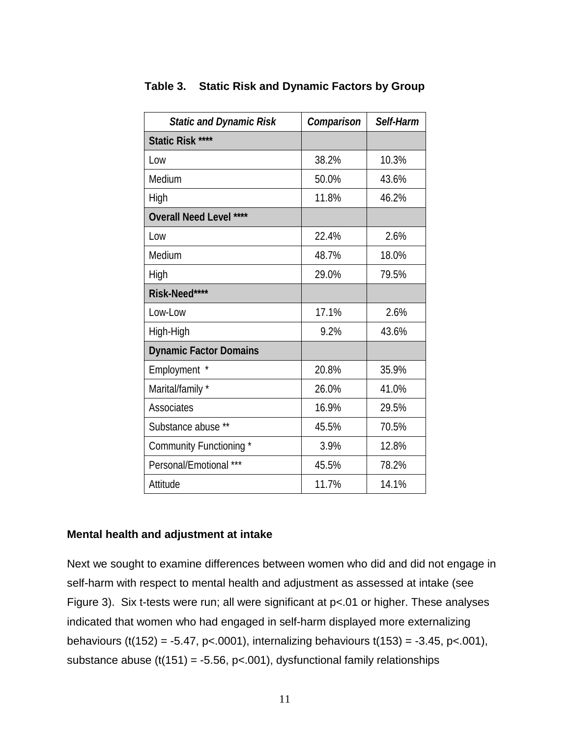| <b>Static and Dynamic Risk</b> | Comparison | Self-Harm |
|--------------------------------|------------|-----------|
| Static Risk ****               |            |           |
| Low                            | 38.2%      | 10.3%     |
| Medium                         | 50.0%      | 43.6%     |
| High                           | 11.8%      | 46.2%     |
| <b>Overall Need Level ****</b> |            |           |
| Low                            | 22.4%      | 2.6%      |
| Medium                         | 48.7%      | 18.0%     |
| High                           | 29.0%      | 79.5%     |
| Risk-Need****                  |            |           |
| Low-Low                        | 17.1%      | 2.6%      |
| High-High                      | 9.2%       | 43.6%     |
| <b>Dynamic Factor Domains</b>  |            |           |
| Employment *                   | 20.8%      | 35.9%     |
| Marital/family *               | 26.0%      | 41.0%     |
| Associates                     | 16.9%      | 29.5%     |
| Substance abuse **             | 45.5%      | 70.5%     |
| Community Functioning *        | 3.9%       | 12.8%     |
| Personal/Emotional ***         | 45.5%      | 78.2%     |
| Attitude                       | 11.7%      | 14.1%     |

## <span id="page-14-0"></span>**Table 3. Static Risk and Dynamic Factors by Group**

#### **Mental health and adjustment at intake**

Next we sought to examine differences between women who did and did not engage in self-harm with respect to mental health and adjustment as assessed at intake (see Figure 3). Six t-tests were run; all were significant at p<.01 or higher. These analyses indicated that women who had engaged in self-harm displayed more externalizing behaviours (t(152) = -5.47, p<.0001), internalizing behaviours t(153) = -3.45, p<.001), substance abuse  $(t(151) = -5.56, p < .001)$ , dysfunctional family relationships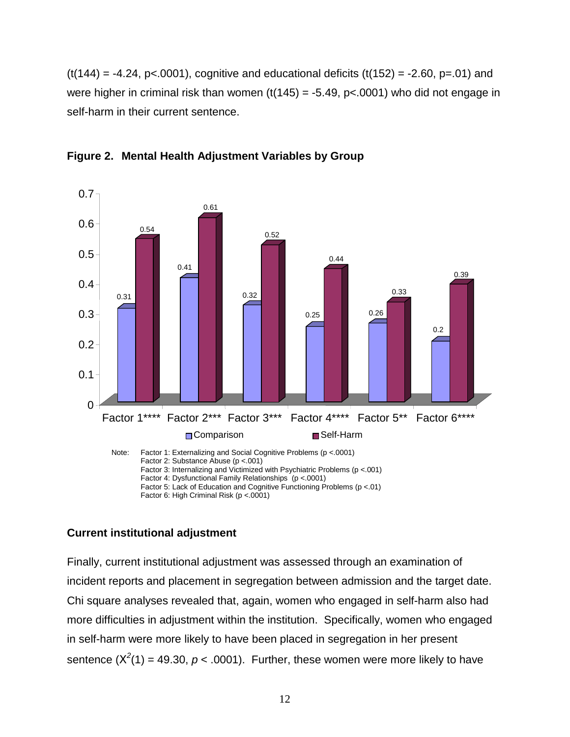<span id="page-15-0"></span> $(t(144) = -4.24, p< 0001)$ , cognitive and educational deficits  $(t(152) = -2.60, p=01)$  and were higher in criminal risk than women  $(t(145) = -5.49, p < 0.001)$  who did not engage in self-harm in their current sentence.



**Figure 2. Mental Health Adjustment Variables by Group**

## **Current institutional adjustment**

Finally, current institutional adjustment was assessed through an examination of incident reports and placement in segregation between admission and the target date. Chi square analyses revealed that, again, women who engaged in self-harm also had more difficulties in adjustment within the institution. Specifically, women who engaged in self-harm were more likely to have been placed in segregation in her present sentence  $(X^2(1) = 49.30, p < .0001)$ . Further, these women were more likely to have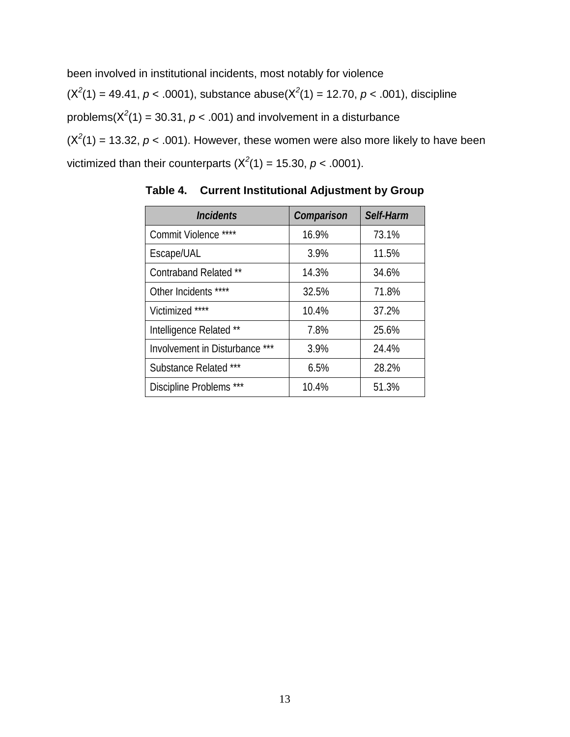<span id="page-16-0"></span>been involved in institutional incidents, most notably for violence  $(X^2(1) = 49.41, p < .0001)$ , substance abuse $(X^2(1) = 12.70, p < .001)$ , discipline problems( $X^2(1)$  = 30.31,  $p < .001$ ) and involvement in a disturbance  $(X^2(1) = 13.32, p < .001)$ . However, these women were also more likely to have been victimized than their counterparts  $(X^2(1) = 15.30, p < .0001)$ .

| <i><u><b>Incidents</b></u></i> | Comparison | Self-Harm |
|--------------------------------|------------|-----------|
| Commit Violence ****           | 16.9%      | 73.1%     |
| Escape/UAL                     | 3.9%       | 11.5%     |
| Contraband Related **          | 14.3%      | 34.6%     |
| Other Incidents ****           | 32.5%      | 71.8%     |
| Victimized ****                | 10.4%      | 37.2%     |
| Intelligence Related **        | 7.8%       | 25.6%     |
| Involvement in Disturbance *** | 3.9%       | 24.4%     |
| Substance Related ***          | 6.5%       | 28.2%     |
| Discipline Problems ***        | 10.4%      | 51.3%     |

**Table 4. Current Institutional Adjustment by Group**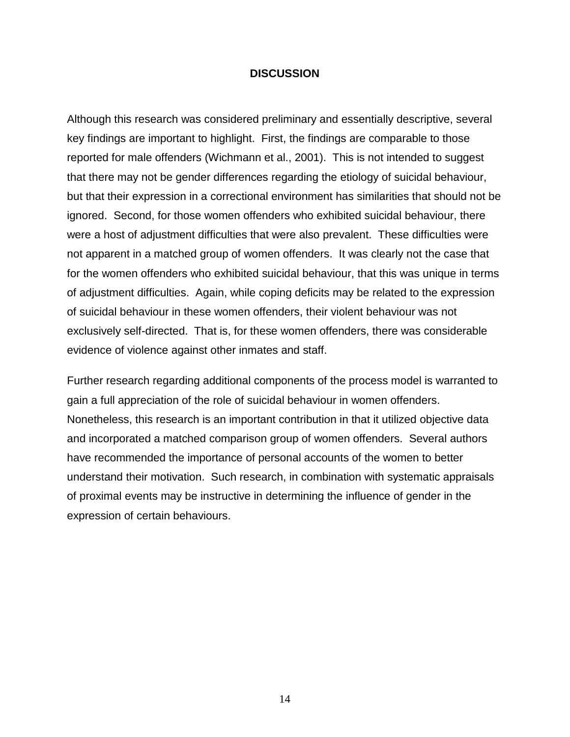### **DISCUSSION**

<span id="page-17-0"></span>Although this research was considered preliminary and essentially descriptive, several key findings are important to highlight. First, the findings are comparable to those reported for male offenders (Wichmann et al., 2001). This is not intended to suggest that there may not be gender differences regarding the etiology of suicidal behaviour, but that their expression in a correctional environment has similarities that should not be ignored. Second, for those women offenders who exhibited suicidal behaviour, there were a host of adjustment difficulties that were also prevalent. These difficulties were not apparent in a matched group of women offenders. It was clearly not the case that for the women offenders who exhibited suicidal behaviour, that this was unique in terms of adjustment difficulties. Again, while coping deficits may be related to the expression of suicidal behaviour in these women offenders, their violent behaviour was not exclusively self-directed. That is, for these women offenders, there was considerable evidence of violence against other inmates and staff.

Further research regarding additional components of the process model is warranted to gain a full appreciation of the role of suicidal behaviour in women offenders. Nonetheless, this research is an important contribution in that it utilized objective data and incorporated a matched comparison group of women offenders. Several authors have recommended the importance of personal accounts of the women to better understand their motivation. Such research, in combination with systematic appraisals of proximal events may be instructive in determining the influence of gender in the expression of certain behaviours.

14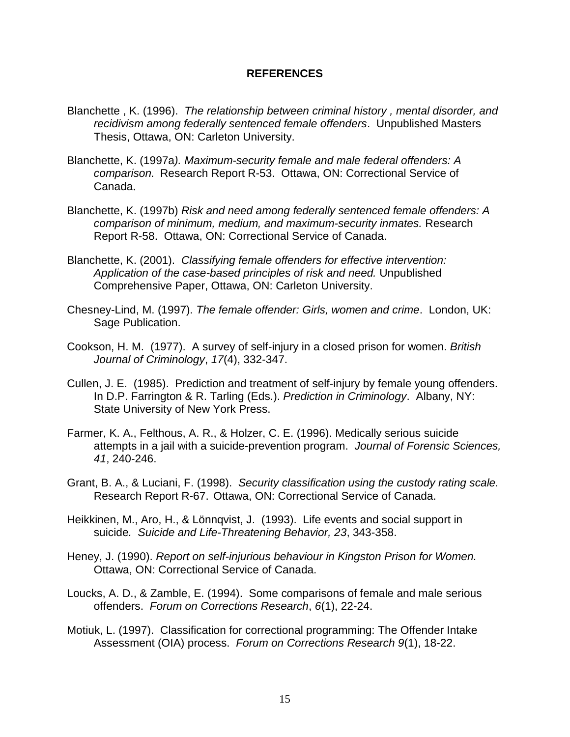### **REFERENCES**

- <span id="page-18-0"></span>Blanchette , K. (1996). *The relationship between criminal history , mental disorder, and recidivism among federally sentenced female offenders*. Unpublished Masters Thesis, Ottawa, ON: Carleton University.
- Blanchette, K. (1997a*). Maximum-security female and male federal offenders: A comparison.* Research Report R-53. Ottawa, ON: Correctional Service of Canada.
- Blanchette, K. (1997b) *Risk and need among federally sentenced female offenders: A comparison of minimum, medium, and maximum-security inmates.* Research Report R-58. Ottawa, ON: Correctional Service of Canada.
- Blanchette, K. (2001). *Classifying female offenders for effective intervention: Application of the case-based principles of risk and need.* Unpublished Comprehensive Paper, Ottawa, ON: Carleton University.
- Chesney-Lind, M. (1997). *The female offender: Girls, women and crime*. London, UK: Sage Publication.
- Cookson, H. M. (1977). A survey of self-injury in a closed prison for women. *British Journal of Criminology*, *17*(4), 332-347.
- Cullen, J. E. (1985). Prediction and treatment of self-injury by female young offenders. In D.P. Farrington & R. Tarling (Eds.). *Prediction in Criminology*. Albany, NY: State University of New York Press.
- Farmer, K. A., Felthous, A. R., & Holzer, C. E. (1996). Medically serious suicide attempts in a jail with a suicide-prevention program. *Journal of Forensic Sciences, 41*, 240-246.
- Grant, B. A., & Luciani, F. (1998). *Security classification using the custody rating scale.* Research Report R-67. Ottawa, ON: Correctional Service of Canada.
- Heikkinen, M., Aro, H., & Lönnqvist, J. (1993). Life events and social support in suicide*. Suicide and Life-Threatening Behavior, 23*, 343-358.
- Heney, J. (1990). *Report on self-injurious behaviour in Kingston Prison for Women.* Ottawa, ON: Correctional Service of Canada.
- Loucks, A. D., & Zamble, E. (1994). Some comparisons of female and male serious offenders. *Forum on Corrections Research*, *6*(1), 22-24.
- Motiuk, L. (1997). Classification for correctional programming: The Offender Intake Assessment (OIA) process. *Forum on Corrections Research 9*(1), 18-22.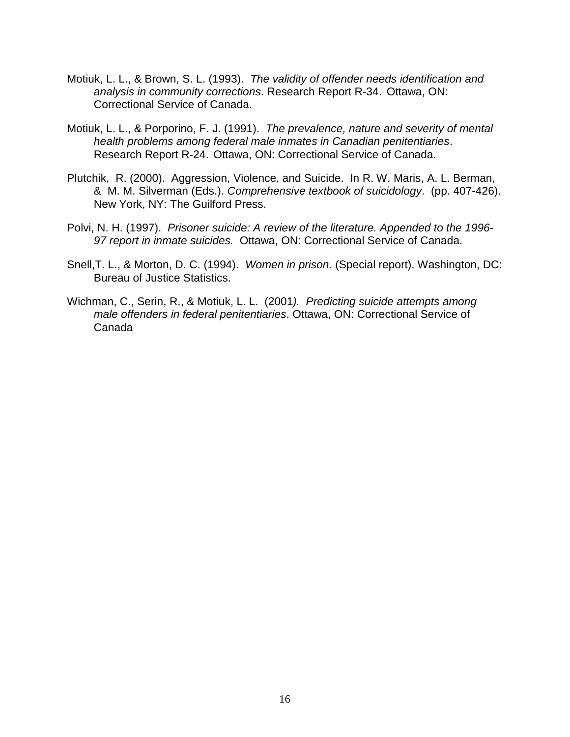- Motiuk, L. L., & Brown, S. L. (1993). *The validity of offender needs identification and analysis in community corrections*. Research Report R-34. Ottawa, ON: Correctional Service of Canada.
- Motiuk, L. L., & Porporino, F. J. (1991). *The prevalence, nature and severity of mental health problems among federal male inmates in Canadian penitentiaries*. Research Report R-24. Ottawa, ON: Correctional Service of Canada.
- Plutchik, R. (2000). Aggression, Violence, and Suicide. In R. W. Maris, A. L. Berman, & M. M. Silverman (Eds.). *Comprehensive textbook of suicidology*. (pp. 407-426). New York, NY: The Guilford Press.
- Polvi, N. H. (1997). *Prisoner suicide: A review of the literature. Appended to the 1996- 97 report in inmate suicides.* Ottawa, ON: Correctional Service of Canada.
- Snell,T. L., & Morton, D. C. (1994). *Women in prison*. (Special report). Washington, DC: Bureau of Justice Statistics.
- Wichman, C., Serin, R., & Motiuk, L. L. (2001*). Predicting suicide attempts among male offenders in federal penitentiaries*. Ottawa, ON: Correctional Service of Canada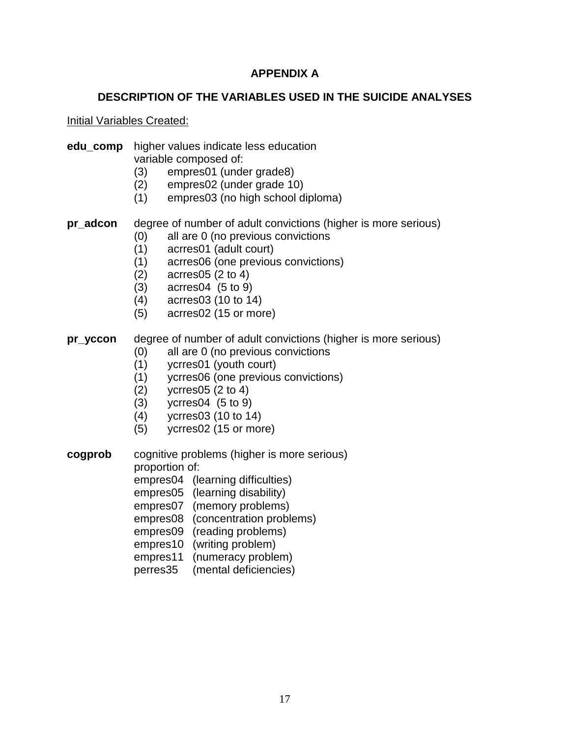# **APPENDIX A**

# **DESCRIPTION OF THE VARIABLES USED IN THE SUICIDE ANALYSES**

<span id="page-20-0"></span>Initial Variables Created:

#### **edu comp** higher values indicate less education variable composed of:

- (3) empres01 (under grade8)
- (2) empres02 (under grade 10)
- (1) empres03 (no high school diploma)
- **pr\_adcon** degree of number of adult convictions (higher is more serious)
	- (0) all are 0 (no previous convictions
	- (1) acrres01 (adult court)
	- (1) acrres06 (one previous convictions)
	- (2) acrres05 (2 to 4)
	- (3) acrres04 (5 to 9)
	- (4) acrres03 (10 to 14)
	- (5) acrres02 (15 or more)

## **pr** yccon degree of number of adult convictions (higher is more serious)

- (0) all are 0 (no previous convictions
- (1) ycrres01 (youth court)
- (1) ycrres06 (one previous convictions)
- (2) ycrres05 (2 to 4)
- (3) ycrres04 (5 to 9)
- (4) ycrres03 (10 to 14)
- (5) ycrres02 (15 or more)

**cogprob** cognitive problems (higher is more serious) proportion of:

empres04 (learning difficulties)

empres05 (learning disability)

empres07 (memory problems)

empres08 (concentration problems)

empres09 (reading problems)

- empres10 (writing problem)
- empres11 (numeracy problem)
- perres35 (mental deficiencies)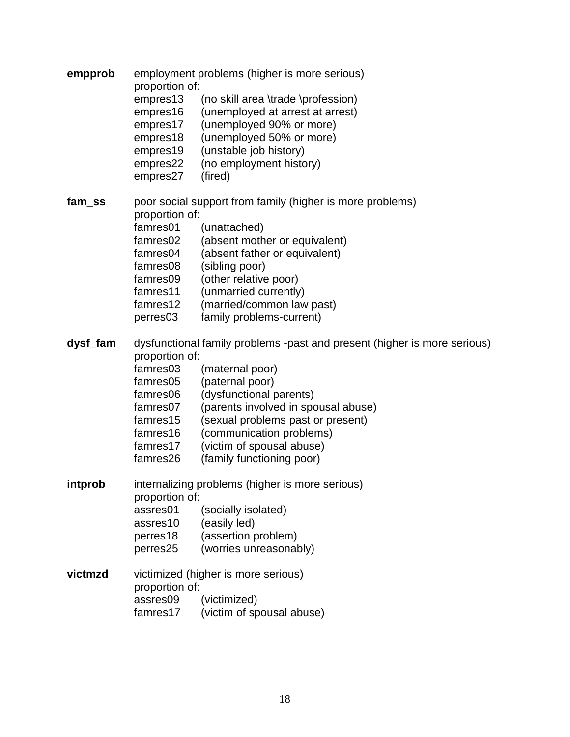| empprob  | employment problems (higher is more serious)<br>proportion of:           |                                                           |  |  |
|----------|--------------------------------------------------------------------------|-----------------------------------------------------------|--|--|
|          | empres13                                                                 | (no skill area \trade \profession)                        |  |  |
|          | empres16                                                                 | (unemployed at arrest at arrest)                          |  |  |
|          | empres17                                                                 | (unemployed 90% or more)                                  |  |  |
|          | empres18                                                                 | (unemployed 50% or more)                                  |  |  |
|          | empres19                                                                 | (unstable job history)                                    |  |  |
|          | empres22                                                                 | (no employment history)                                   |  |  |
|          | empres27                                                                 | (fired)                                                   |  |  |
| fam ss   |                                                                          | poor social support from family (higher is more problems) |  |  |
|          | proportion of:                                                           |                                                           |  |  |
|          | famres01                                                                 | (unattached)                                              |  |  |
|          | famres02                                                                 | (absent mother or equivalent)                             |  |  |
|          | famres04                                                                 | (absent father or equivalent)                             |  |  |
|          | famres08<br>famres09                                                     | (sibling poor)<br>(other relative poor)                   |  |  |
|          | famres11                                                                 | (unmarried currently)                                     |  |  |
|          | famres12                                                                 | (married/common law past)                                 |  |  |
|          | perres03                                                                 | family problems-current)                                  |  |  |
|          |                                                                          |                                                           |  |  |
| dysf_fam | dysfunctional family problems -past and present (higher is more serious) |                                                           |  |  |
|          | proportion of:                                                           |                                                           |  |  |
|          | famres03                                                                 | (maternal poor)                                           |  |  |
|          | famres05                                                                 | (paternal poor)                                           |  |  |
|          | famres06                                                                 | (dysfunctional parents)                                   |  |  |
|          | famres07                                                                 | (parents involved in spousal abuse)                       |  |  |
|          | famres15                                                                 | (sexual problems past or present)                         |  |  |
|          | famres16                                                                 | (communication problems)                                  |  |  |
|          | famres17                                                                 | (victim of spousal abuse)                                 |  |  |
|          | famres26                                                                 | (family functioning poor)                                 |  |  |
| intprob  |                                                                          | internalizing problems (higher is more serious)           |  |  |
|          | proportion of:                                                           |                                                           |  |  |
|          | assres01                                                                 | (socially isolated)                                       |  |  |
|          | assres10                                                                 | (easily led)                                              |  |  |
|          | perres18                                                                 | (assertion problem)                                       |  |  |
|          | perres25                                                                 | (worries unreasonably)                                    |  |  |
| victmzd  |                                                                          | victimized (higher is more serious)                       |  |  |
|          | proportion of:                                                           |                                                           |  |  |
|          | assres09                                                                 | (victimized)                                              |  |  |
|          | famres17                                                                 | (victim of spousal abuse)                                 |  |  |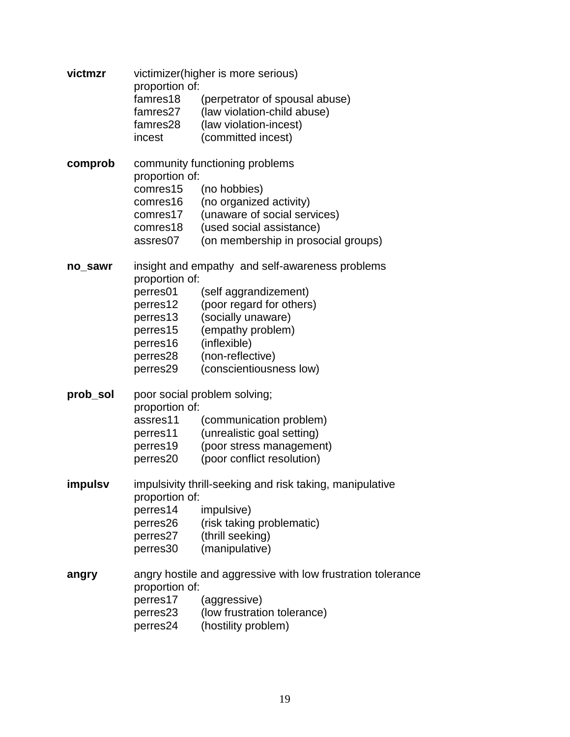| victmzr  | victimizer(higher is more serious)<br>proportion of:     |                                                             |  |  |
|----------|----------------------------------------------------------|-------------------------------------------------------------|--|--|
|          | famres18                                                 | (perpetrator of spousal abuse)                              |  |  |
|          | famres27                                                 | (law violation-child abuse)                                 |  |  |
|          | famres28                                                 | (law violation-incest)                                      |  |  |
|          | incest                                                   | (committed incest)                                          |  |  |
| comprob  |                                                          | community functioning problems                              |  |  |
|          | proportion of:                                           |                                                             |  |  |
|          | comres15                                                 | (no hobbies)                                                |  |  |
|          | comres16                                                 | (no organized activity)                                     |  |  |
|          | comres17                                                 | (unaware of social services)                                |  |  |
|          | comres18                                                 | (used social assistance)                                    |  |  |
|          | assres07                                                 | (on membership in prosocial groups)                         |  |  |
| no_sawr  |                                                          | insight and empathy and self-awareness problems             |  |  |
|          | proportion of:                                           |                                                             |  |  |
|          | perres01                                                 | (self aggrandizement)                                       |  |  |
|          | perres12                                                 | (poor regard for others)                                    |  |  |
|          | perres13                                                 | (socially unaware)                                          |  |  |
|          | perres15                                                 | (empathy problem)                                           |  |  |
|          | perres16                                                 | (inflexible)                                                |  |  |
|          | perres28                                                 | (non-reflective)                                            |  |  |
|          | perres29                                                 | (conscientiousness low)                                     |  |  |
| prob_sol |                                                          | poor social problem solving;                                |  |  |
|          | proportion of:                                           |                                                             |  |  |
|          | assres11                                                 | (communication problem)                                     |  |  |
|          | perres11                                                 | (unrealistic goal setting)                                  |  |  |
|          | perres19                                                 | (poor stress management)                                    |  |  |
|          | perres20                                                 | (poor conflict resolution)                                  |  |  |
| impulsv  | impulsivity thrill-seeking and risk taking, manipulative |                                                             |  |  |
|          | proportion of:                                           |                                                             |  |  |
|          | perres14                                                 | impulsive)                                                  |  |  |
|          | perres26                                                 | (risk taking problematic)                                   |  |  |
|          | perres27                                                 | (thrill seeking)                                            |  |  |
|          | perres30                                                 | (manipulative)                                              |  |  |
| angry    |                                                          | angry hostile and aggressive with low frustration tolerance |  |  |
|          | proportion of:                                           |                                                             |  |  |
|          | perres17                                                 | (aggressive)                                                |  |  |
|          | perres23                                                 | (low frustration tolerance)                                 |  |  |
|          | perres24                                                 | (hostility problem)                                         |  |  |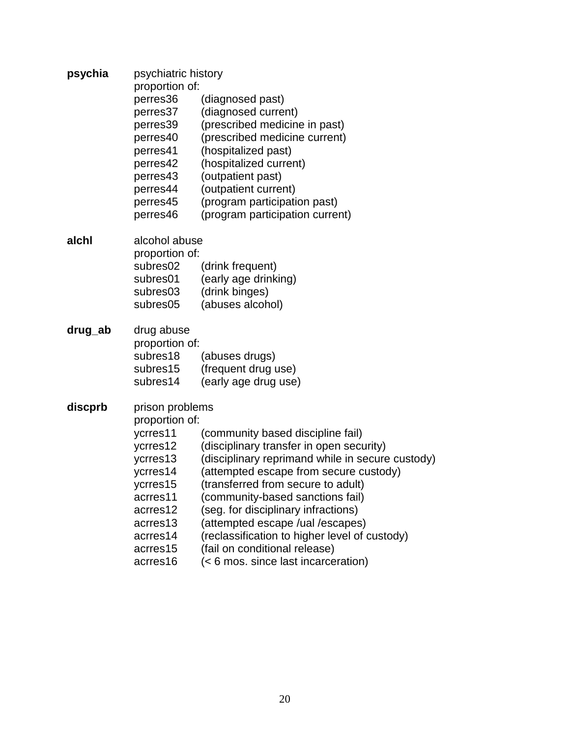| psychia | psychiatric history |                                                  |  |  |
|---------|---------------------|--------------------------------------------------|--|--|
|         | proportion of:      |                                                  |  |  |
|         | perres36            | (diagnosed past)                                 |  |  |
|         | perres37            | (diagnosed current)                              |  |  |
|         | perres39            | (prescribed medicine in past)                    |  |  |
|         | perres40            | (prescribed medicine current)                    |  |  |
|         | perres41            | (hospitalized past)                              |  |  |
|         | perres42            | (hospitalized current)                           |  |  |
|         | perres43            | (outpatient past)                                |  |  |
|         | perres44            | (outpatient current)                             |  |  |
|         | perres45            | (program participation past)                     |  |  |
|         | perres46            | (program participation current)                  |  |  |
| alchl   | alcohol abuse       |                                                  |  |  |
|         | proportion of:      |                                                  |  |  |
|         | subres02            | (drink frequent)                                 |  |  |
|         | subres01            | (early age drinking)                             |  |  |
|         | subres03            | (drink binges)                                   |  |  |
|         | subres05            | (abuses alcohol)                                 |  |  |
| drug_ab | drug abuse          |                                                  |  |  |
|         | proportion of:      |                                                  |  |  |
|         | subres18            | (abuses drugs)                                   |  |  |
|         | subres15            | (frequent drug use)                              |  |  |
|         | subres14            | (early age drug use)                             |  |  |
| discprb | prison problems     |                                                  |  |  |
|         | proportion of:      |                                                  |  |  |
|         | ycrres11            | (community based discipline fail)                |  |  |
|         | ycrres12            | (disciplinary transfer in open security)         |  |  |
|         | ycrres13            | (disciplinary reprimand while in secure custody) |  |  |
|         | ycrres14            | (attempted escape from secure custody)           |  |  |
|         | ycrres15            | (transferred from secure to adult)               |  |  |
|         | acrres11            | (community-based sanctions fail)                 |  |  |
|         | acrres12            | (seg. for disciplinary infractions)              |  |  |
|         | acrres13            | (attempted escape /ual /escapes)                 |  |  |
|         | acrres14            | (reclassification to higher level of custody)    |  |  |
|         | acrres15            | (fail on conditional release)                    |  |  |
|         | acrres16            | (< 6 mos. since last incarceration)              |  |  |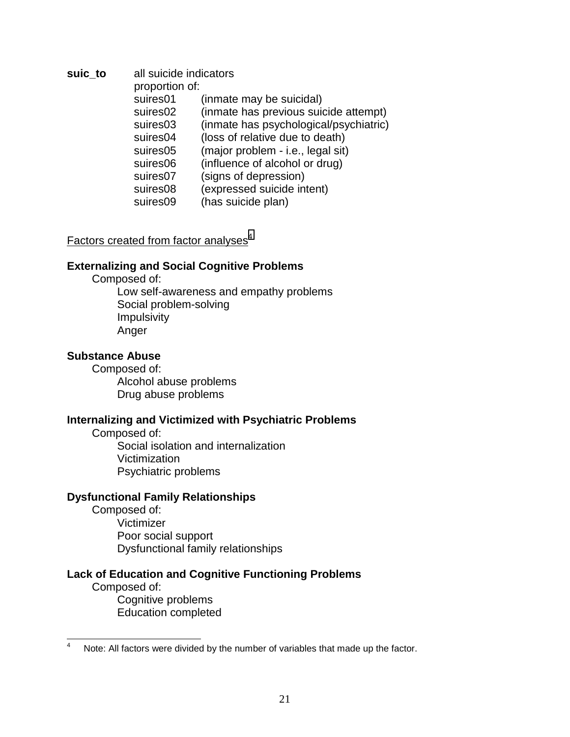**suic\_to** all suicide indicators proportion of: suires01 (inmate may be suicidal) suires02 (inmate has previous suicide attempt) suires03 (inmate has psychological/psychiatric) suires04 (loss of relative due to death) suires05 (major problem - i.e., legal sit) suires06 (influence of alcohol or drug) suires07 (signs of depression) suires08 (expressed suicide intent) suires09 (has suicide plan)

### Factors created from factor analyses $4$

### **Externalizing and Social Cognitive Problems**

Composed of:

Low self-awareness and empathy problems Social problem-solving Impulsivity Anger

#### **Substance Abuse**

 Composed of: Alcohol abuse problems Drug abuse problems

### **Internalizing and Victimized with Psychiatric Problems**

 Composed of: Social isolation and internalization Victimization Psychiatric problems

### **Dysfunctional Family Relationships**

 Composed of: Victimizer Poor social support Dysfunctional family relationships

### **Lack of Education and Cognitive Functioning Problems**

 Composed of: Cognitive problems Education completed

 4 Note: All factors were divided by the number of variables that made up the factor.